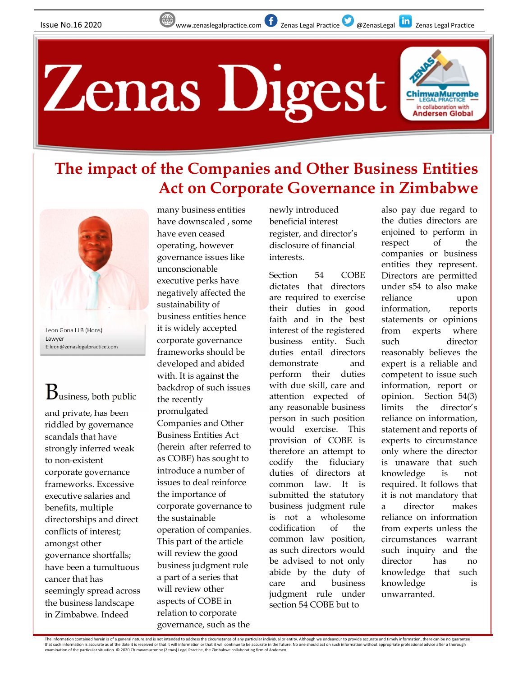

## The impact of the Companies and Other Business Entities Act on Corporate Governance in Zimbabwe

Zenas Digest



Leon Gona LLB (Hons) Lawyer E:leon@zenaslegalpractice.com

## $\mathrm B$ usiness, both public

and private, has been riddled by governance scandals that have strongly inferred weak to non-existent corporate governance frameworks. Excessive executive salaries and benefits, multiple directorships and direct conflicts of interest; amongst other governance shortfalls; have been a tumultuous cancer that has seemingly spread across the business landscape in Zimbabwe. Indeed

many business entities have downscaled , some have even ceased operating, however governance issues like unconscionable executive perks have negatively affected the sustainability of business entities hence it is widely accepted corporate governance frameworks should be developed and abided with. It is against the backdrop of such issues the recently promulgated Companies and Other Business Entities Act (herein after referred to as COBE) has sought to codify introduce a number of issues to deal reinforce the importance of corporate governance to the sustainable operation of companies. This part of the article will review the good business judgment rule a part of a series that a same by u will review other aspects of COBE in relation to corporate governance, such as the

newly introduced beneficial interest register, and director's disclosure of financial interests.

Section 54 COBE Directors are permitted dictates that directors are required to exercise their duties in good faith and in the best interest of the registered business entity. Such duties entail directors demonstrate and expert is a reliable and perform their duties with due skill, care and attention expected of any reasonable business person in such position would exercise. This provision of COBE is therefore an attempt to the fiduciary duties of directors at common law. It is submitted the statutory business judgment rule is not a wholesome codification of the from experts unless the common law position, as such directors would be advised to not only director has abide by the duty of care and business knowledge is judgment rule under section 54 COBE but to

also pay due regard to the duties directors are enjoined to perform in respect of the companies or business entities they represent. under s54 to also make reliance upon information, reports statements or opinions experts where director reasonably believes the competent to issue such information, report or Section  $54(3)$ director's reliance on information, statement and reports of experts to circumstance only where the director is unaware that such knowledge is not required. It follows that it is not mandatory that director makes reliance on information circumstances warrant such inquiry and the director has no knowledge that such unwarranted.

The information contained herein is of a general nature and is not intended to address the circumstance of any particular individual or entity. Although we endeavour to provide accurate and timely information, there can be that such information is accurate as of the date it is received or that it will information or that it will continue to be accurate in the future. No one should act on such information without appropriate professional advi